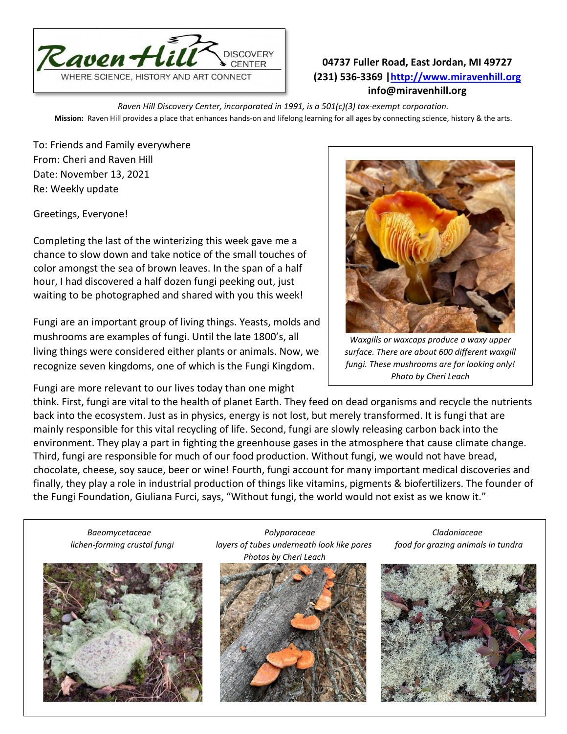

## **04737 Fuller Road, East Jordan, MI 49727 (231) 536-3369 [|http://www.miravenhill.org](http://www.miravenhill.org/) info@miravenhill.org**

*Raven Hill Discovery Center, incorporated in 1991, is a 501(c)(3) tax-exempt corporation.* **Mission:** Raven Hill provides a place that enhances hands-on and lifelong learning for all ages by connecting science, history & the arts.

To: Friends and Family everywhere From: Cheri and Raven Hill Date: November 13, 2021 Re: Weekly update

Greetings, Everyone!

Completing the last of the winterizing this week gave me a chance to slow down and take notice of the small touches of color amongst the sea of brown leaves. In the span of a half hour, I had discovered a half dozen fungi peeking out, just waiting to be photographed and shared with you this week!

Fungi are an important group of living things. Yeasts, molds and mushrooms are examples of fungi. Until the late 1800's, all living things were considered either plants or animals. Now, we recognize seven kingdoms, one of which is the Fungi Kingdom.

Fungi are more relevant to our lives today than one might



*Waxgills or waxcaps produce a waxy upper surface. There are about 600 different waxgill fungi. These mushrooms are for looking only! Photo by Cheri Leach*

think. First, fungi are vital to the health of planet Earth. They feed on dead organisms and recycle the nutrients back into the ecosystem. Just as in physics, energy is not lost, but merely transformed. It is fungi that are mainly responsible for this vital recycling of life. Second, fungi are slowly releasing carbon back into the environment. They play a part in fighting the greenhouse gases in the atmosphere that cause climate change. Third, fungi are responsible for much of our food production. Without fungi, we would not have bread, chocolate, cheese, soy sauce, beer or wine! Fourth, fungi account for many important medical discoveries and finally, they play a role in industrial production of things like vitamins, pigments & biofertilizers. The founder of the Fungi Foundation, Giuliana Furci, says, "Without fungi, the world would not exist as we know it."



 $\overline{a}$ 

 *Baeomycetaceae Polyporaceae Cladoniaceae lichen-forming crustal fungi layers of tubes underneath look like pores food for grazing animals in tundra Photos by Cheri Leach*